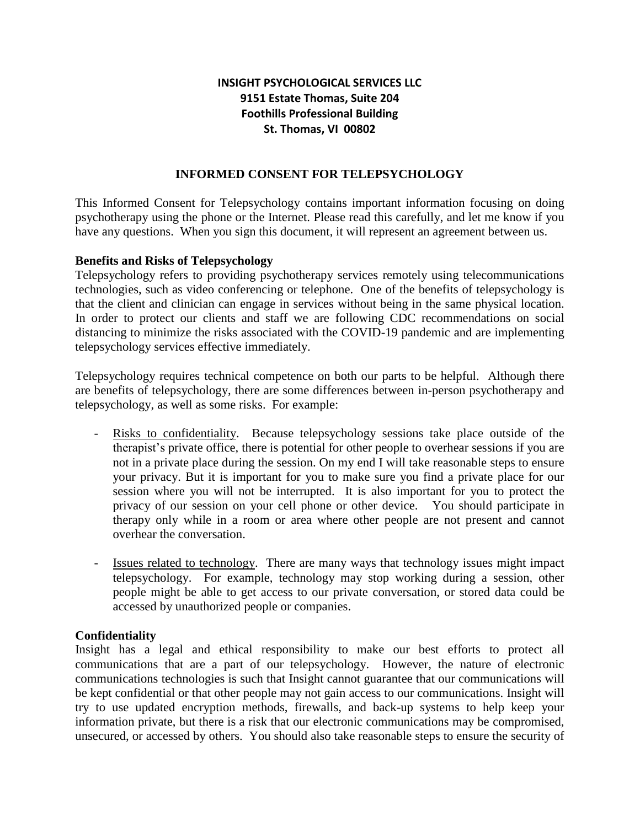# **INSIGHT PSYCHOLOGICAL SERVICES LLC 9151 Estate Thomas, Suite 204 Foothills Professional Building St. Thomas, VI 00802**

## **INFORMED CONSENT FOR TELEPSYCHOLOGY**

This Informed Consent for Telepsychology contains important information focusing on doing psychotherapy using the phone or the Internet. Please read this carefully, and let me know if you have any questions. When you sign this document, it will represent an agreement between us.

#### **Benefits and Risks of Telepsychology**

Telepsychology refers to providing psychotherapy services remotely using telecommunications technologies, such as video conferencing or telephone. One of the benefits of telepsychology is that the client and clinician can engage in services without being in the same physical location. In order to protect our clients and staff we are following CDC recommendations on social distancing to minimize the risks associated with the COVID-19 pandemic and are implementing telepsychology services effective immediately.

Telepsychology requires technical competence on both our parts to be helpful. Although there are benefits of telepsychology, there are some differences between in-person psychotherapy and telepsychology, as well as some risks. For example:

- Risks to confidentiality. Because telepsychology sessions take place outside of the therapist's private office, there is potential for other people to overhear sessions if you are not in a private place during the session. On my end I will take reasonable steps to ensure your privacy. But it is important for you to make sure you find a private place for our session where you will not be interrupted. It is also important for you to protect the privacy of our session on your cell phone or other device. You should participate in therapy only while in a room or area where other people are not present and cannot overhear the conversation.
- Issues related to technology. There are many ways that technology issues might impact telepsychology. For example, technology may stop working during a session, other people might be able to get access to our private conversation, or stored data could be accessed by unauthorized people or companies.

#### **Confidentiality**

Insight has a legal and ethical responsibility to make our best efforts to protect all communications that are a part of our telepsychology. However, the nature of electronic communications technologies is such that Insight cannot guarantee that our communications will be kept confidential or that other people may not gain access to our communications. Insight will try to use updated encryption methods, firewalls, and back-up systems to help keep your information private, but there is a risk that our electronic communications may be compromised, unsecured, or accessed by others. You should also take reasonable steps to ensure the security of